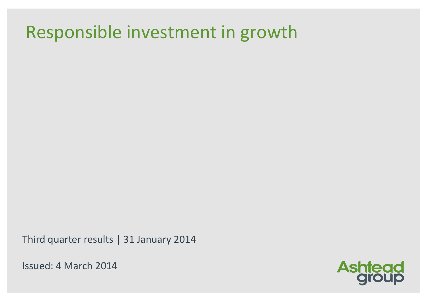# Responsible investment in growth

Third quarter results | 31 January 2014

Issued: 4 March 2014

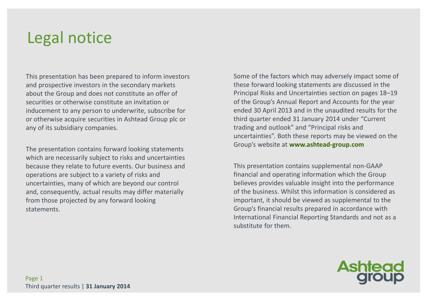### Legal notice

This presentation has been prepared to inform investors and prospective investors in the secondary markets about the Group and does not constitute an offer ofsecurities or otherwise constitute an invitation or inducement to any person to underwrite, subscribe for or otherwise acquire securities in Ashtead Group plc or any of its subsidiary companies.

The presentation contains forward looking statements which are necessarily subject to risks and uncertainties because they relate to future events. Our business and operations are subject to a variety of risks and uncertainties, many of which are beyond our controland, consequently, actual results may differ materially from those projected by any forward looking statements.

Some of the factors which may adversely impact some of these forward looking statements are discussed in the Principal Risks and Uncertainties section on pages 18–19 of the Group's Annual Report and Accounts for the year ended 30 April 2013 and in the unaudited results for the third quarter ended 31 January 2014 under "Current trading and outlook" and "Principal risks and uncertainties". Both these reports may be viewed on the Group's website at **www.ashtead-group.com**

This presentation contains supplemental non-GAAP financial and operating information which the Group believes provides valuable insight into the performance of the business. Whilst this information is considered as important, it should be viewed as supplemental to the Group's financial results prepared in accordance with International Financial Reporting Standards and not as a substitute for them.

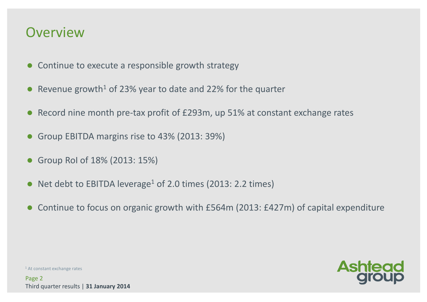### **Overview**

- **Continue to execute a responsible growth strategy**
- Revenue growth<sup>1</sup> of 23% year to date and 22% for the quarter
- Record nine month pre-tax profit of £293m, up 51% at constant exchange rates
- $\bullet$ Group EBITDA margins rise to 43% (2013: 39%)
- $\bullet$ Group RoI of 18% (2013: 15%)
- Net debt to EBITDA leverage<sup>1</sup> of 2.0 times (2013: 2.2 times)
- $\bullet$ Continue to focus on organic growth with £564m (2013: £427m) of capital expenditure

 $1$  At constant exchange rates

Page 2Third quarter results | **31 January 2014**

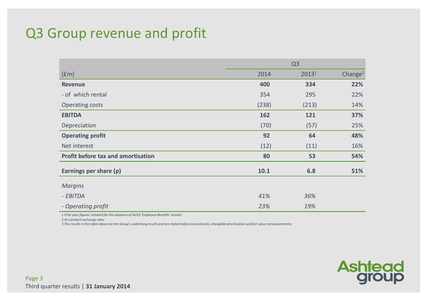### Q3 Group revenue and profit

|                                           | Q <sub>3</sub> |       |                     |  |
|-------------------------------------------|----------------|-------|---------------------|--|
| (fm)                                      | 2014           | 20131 | Change <sup>2</sup> |  |
| <b>Revenue</b>                            | 400            | 334   | 22%                 |  |
| - of which rental                         | 354            | 295   | 22%                 |  |
| <b>Operating costs</b>                    | (238)          | (213) | 14%                 |  |
| <b>EBITDA</b>                             | 162            | 121   | 37%                 |  |
| Depreciation                              | (70)           | (57)  | 25%                 |  |
| <b>Operating profit</b>                   | 92             | 64    | 48%                 |  |
| Net interest                              | (12)           | (11)  | 16%                 |  |
| <b>Profit before tax and amortisation</b> | 80             | 53    | 54%                 |  |
| Earnings per share (p)                    | 10.1           | 6.8   | 51%                 |  |
| <b>Margins</b>                            |                |       |                     |  |
| - EBITDA                                  | 41%            | 36%   |                     |  |
| - Operating profit                        | 23%            | 19%   |                     |  |

*1 Prior year figures restated for the adoption of IAS19 'Employee Benefits' revised*

*2 At constant exchange rates*

*3 The results in the table above are the Group's underlying results and are stated before exceptionals, intangible amortisation and fair value remeasurements*

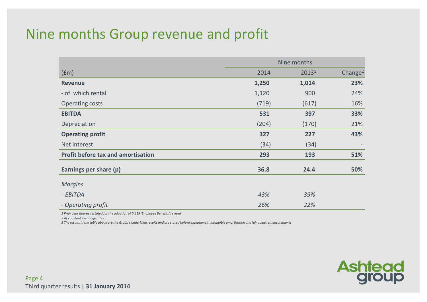### Nine months Group revenue and profit

|                                           | Nine months |       |                     |  |  |
|-------------------------------------------|-------------|-------|---------------------|--|--|
| (fm)                                      | 2014        | 20131 | Change <sup>2</sup> |  |  |
| <b>Revenue</b>                            | 1,250       | 1,014 | 23%                 |  |  |
| - of which rental                         | 1,120       | 900   | 24%                 |  |  |
| <b>Operating costs</b>                    | (719)       | (617) | 16%                 |  |  |
| <b>EBITDA</b>                             | 531         | 397   | 33%                 |  |  |
| Depreciation                              | (204)       | (170) | 21%                 |  |  |
| <b>Operating profit</b>                   | 327         | 227   | 43%                 |  |  |
| Net interest                              | (34)        | (34)  |                     |  |  |
| <b>Profit before tax and amortisation</b> | 293         | 193   | 51%                 |  |  |
| Earnings per share (p)                    | 36.8        | 24.4  | 50%                 |  |  |
| <b>Margins</b>                            |             |       |                     |  |  |
| - EBITDA                                  | 43%         | 39%   |                     |  |  |
| - Operating profit                        | 26%         | 22%   |                     |  |  |

*1 Prior year figures restated for the adoption of IAS19 'Employee Benefits' revised*

*2 At constant exchange rates*

*3 The results in the table above are the Group's underlying results and are stated before exceptionals, intangible amortisation and fair value remeasurements*

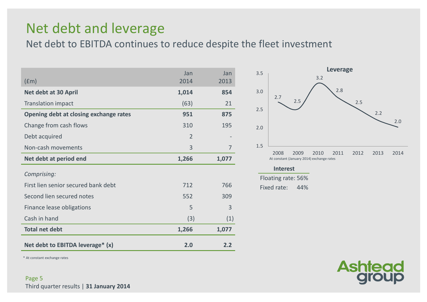### Net debt and leverage

Net debt to EBITDA continues to reduce despite the fleet investment

| (fm)                                          | Jan<br>2014    | Jan<br>2013    |
|-----------------------------------------------|----------------|----------------|
| Net debt at 30 April                          | 1,014          | 854            |
| <b>Translation impact</b>                     | (63)           | 21             |
| <b>Opening debt at closing exchange rates</b> | 951            | 875            |
| Change from cash flows                        | 310            | 195            |
| Debt acquired                                 | $\overline{2}$ |                |
| Non-cash movements                            | 3              | $\overline{7}$ |
| Net debt at period end                        | 1,266          | 1,077          |
| Comprising:                                   |                |                |
| First lien senior secured bank debt           | 712            | 766            |
| Second lien secured notes                     | 552            | 309            |
| Finance lease obligations                     | 5              | 3              |
| Cash in hand                                  | (3)            | (1)            |
| <b>Total net debt</b>                         | 1,266          | 1,077          |
| Net debt to EBITDA leverage* (x)              | 2.0            | 2.2            |



#### **Interest**

Floating rate: 56%44% Fixed rate:



\* At constant exchange rates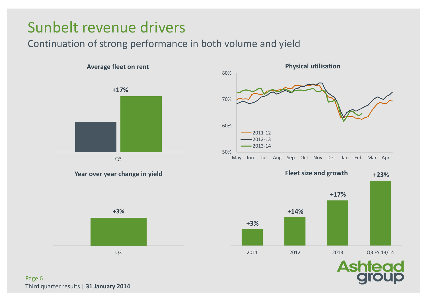### Sunbelt revenue drivers

### Continuation of strong performance in both volume and yield



Page 6Third quarter results | **31 January 2014**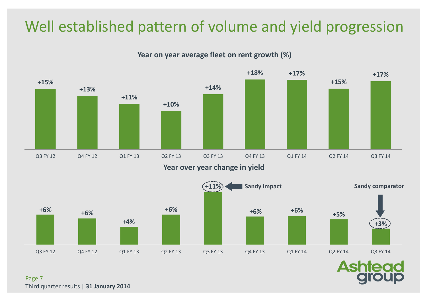### Well established pattern of volume and yield progression

**Year on year average fleet on rent growth (%)**





**Ashtead** 

Page 7Third quarter results | **31 January 2014**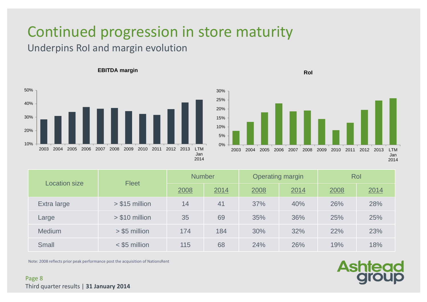# Continued progression in store maturity

### Underpins RoI and margin evolution



#### **EBITDA margin**

**RoI**



| <b>Location size</b> | <b>Fleet</b>    | <b>Number</b> |      | <b>Operating margin</b> |      | Rol  |      |  |
|----------------------|-----------------|---------------|------|-------------------------|------|------|------|--|
|                      |                 | 2008          | 2014 | 2008                    | 2014 | 2008 | 2014 |  |
| Extra large          | $> $15$ million | 14            | 41   | 37%                     | 40%  | 26%  | 28%  |  |
| Large                | $> $10$ million | 35            | 69   | 35%                     | 36%  | 25%  | 25%  |  |
| <b>Medium</b>        | $>$ \$5 million | 174           | 184  | 30%                     | 32%  | 22%  | 23%  |  |
| <b>Small</b>         | $<$ \$5 million | 115           | 68   | 24%                     | 26%  | 19%  | 18%  |  |

Note: 2008 reflects prior peak performance post the acquisition of NationsRent

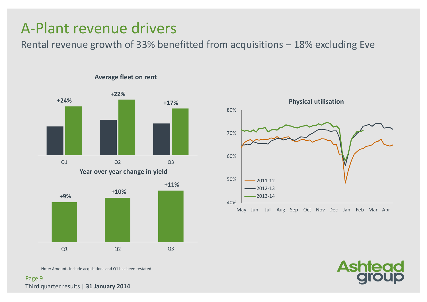### A-Plant revenue drivers

Rental revenue growth of 33% benefitted from acquisitions – 18% excluding Eve



#### **Average fleet on rent**



Note: Amounts include acquisitions and Q1 has been restated



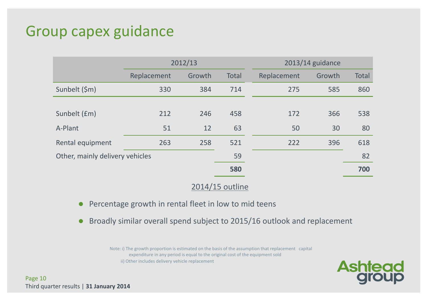### Group capex guidance

|                                 |             | 2012/13 |              |             | 2013/14 guidance |              |  |  |  |
|---------------------------------|-------------|---------|--------------|-------------|------------------|--------------|--|--|--|
|                                 | Replacement | Growth  | <b>Total</b> | Replacement | Growth           | <b>Total</b> |  |  |  |
| Sunbelt (\$m)                   | 330         | 384     | 714          | 275         | 585              | 860          |  |  |  |
|                                 |             |         |              |             |                  |              |  |  |  |
| Sunbelt (£m)                    | 212         | 246     | 458          | 172         | 366              | 538          |  |  |  |
| A-Plant                         | 51          | 12      | 63           | 50          | 30               | 80           |  |  |  |
| Rental equipment                | 263         | 258     | 521          | 222         | 396              | 618          |  |  |  |
| Other, mainly delivery vehicles |             |         | 59           |             |                  | 82           |  |  |  |
|                                 |             |         | 580          |             |                  | 700          |  |  |  |

#### 2014/15 outline

- $\bullet$ Percentage growth in rental fleet in low to mid teens
- $\bullet$ Broadly similar overall spend subject to 2015/16 outlook and replacement

Note: i) The growth proportion is estimated on the basis of the assumption that replacement capital expenditure in any period is equal to the original cost of the equipment soldii) Other includes delivery vehicle replacement

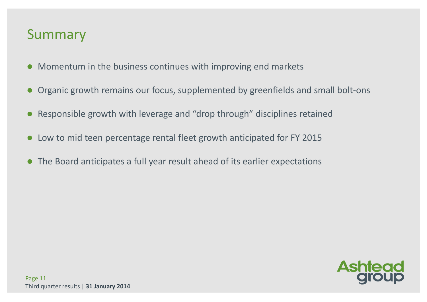### Summary

- Momentum in the business continues with improving end markets
- Organic growth remains our focus, supplemented by greenfields and small bolt-ons
- $\bullet$ Responsible growth with leverage and "drop through" disciplines retained
- Low to mid teen percentage rental fleet growth anticipated for FY 2015
- $\bullet$ The Board anticipates a full year result ahead of its earlier expectations

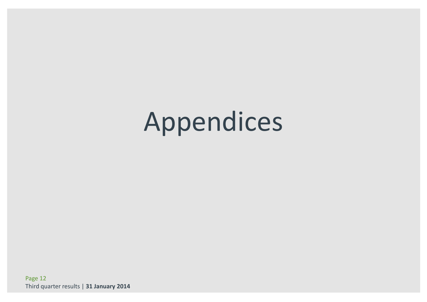# Appendices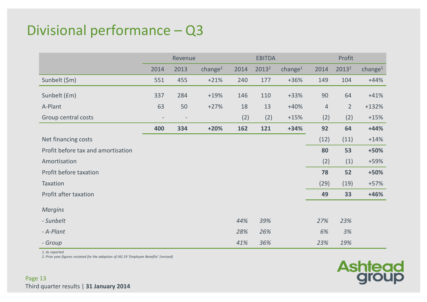### Divisional performance – Q3

|                                    | Revenue           |                          |            | <b>EBITDA</b> |                   | Profit     |                |                   |            |
|------------------------------------|-------------------|--------------------------|------------|---------------|-------------------|------------|----------------|-------------------|------------|
|                                    | 2014              | 2013                     | change $1$ | 2014          | 2013 <sup>2</sup> | change $1$ | 2014           | 2013 <sup>2</sup> | change $1$ |
| Sunbelt (\$m)                      | 551               | 455                      | $+21%$     | 240           | 177               | $+36%$     | 149            | 104               | $+44%$     |
| Sunbelt (£m)                       | 337               | 284                      | $+19%$     | 146           | 110               | $+33%$     | 90             | 64                | $+41%$     |
| A-Plant                            | 63                | 50                       | $+27%$     | 18            | 13                | $+40%$     | $\overline{4}$ | $\overline{2}$    | $+132%$    |
| Group central costs                | $\qquad \qquad -$ | $\overline{\phantom{a}}$ |            | (2)           | (2)               | $+15%$     | (2)            | (2)               | $+15%$     |
|                                    | 400               | 334                      | $+20%$     | 162           | 121               | $+34%$     | 92             | 64                | $+44%$     |
| Net financing costs                |                   |                          |            |               |                   |            | (12)           | (11)              | $+14%$     |
| Profit before tax and amortisation |                   |                          |            |               |                   |            | 80             | 53                | +50%       |
| Amortisation                       |                   |                          |            |               |                   |            | (2)            | (1)               | +59%       |
| Profit before taxation             |                   |                          |            |               |                   |            | 78             | 52                | +50%       |
| Taxation                           |                   |                          |            |               |                   |            | (29)           | (19)              | $+57%$     |
| Profit after taxation              |                   |                          |            |               |                   |            | 49             | 33                | $+46%$     |
| <b>Margins</b>                     |                   |                          |            |               |                   |            |                |                   |            |
| - Sunbelt                          |                   |                          |            | 44%           | 39%               |            | 27%            | 23%               |            |
| - A-Plant                          |                   |                          |            | 28%           | 26%               |            | 6%             | 3%                |            |
| - Group                            |                   |                          |            | 41%           | 36%               |            | 23%            | 19%               |            |

*1. As reported*

*2. Prior year figures restated for the adoption of IAS 19 'Employee Benefits' (revised)*

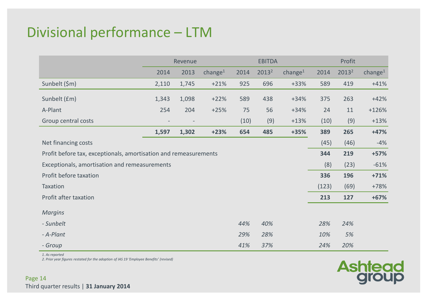### Divisional performance – LTM

|                                                                  | Revenue |       |                     | <b>EBITDA</b> |                   |            | Profit |                   |            |
|------------------------------------------------------------------|---------|-------|---------------------|---------------|-------------------|------------|--------|-------------------|------------|
|                                                                  | 2014    | 2013  | change <sup>1</sup> | 2014          | 2013 <sup>2</sup> | change $1$ | 2014   | 2013 <sup>2</sup> | change $1$ |
| Sunbelt (\$m)                                                    | 2,110   | 1,745 | $+21%$              | 925           | 696               | $+33%$     | 589    | 419               | $+41%$     |
| Sunbelt (£m)                                                     | 1,343   | 1,098 | $+22%$              | 589           | 438               | $+34%$     | 375    | 263               | $+42%$     |
| A-Plant                                                          | 254     | 204   | $+25%$              | 75            | 56                | $+34%$     | 24     | 11                | $+126%$    |
| Group central costs                                              |         |       |                     | (10)          | (9)               | $+13%$     | (10)   | (9)               | $+13%$     |
|                                                                  | 1,597   | 1,302 | $+23%$              | 654           | 485               | +35%       | 389    | 265               | $+47%$     |
| Net financing costs                                              |         |       |                     |               |                   |            | (45)   | (46)              | $-4%$      |
| Profit before tax, exceptionals, amortisation and remeasurements |         |       |                     |               |                   |            | 344    | 219               | $+57%$     |
| Exceptionals, amortisation and remeasurements                    |         |       |                     |               |                   |            | (8)    | (23)              | $-61%$     |
| Profit before taxation                                           |         |       |                     |               |                   |            | 336    | 196               | $+71%$     |
| Taxation                                                         |         |       |                     |               |                   |            | (123)  | (69)              | $+78%$     |
| Profit after taxation                                            |         |       |                     |               |                   |            | 213    | 127               | $+67%$     |
| <b>Margins</b>                                                   |         |       |                     |               |                   |            |        |                   |            |
| - Sunbelt                                                        |         |       |                     | 44%           | 40%               |            | 28%    | 24%               |            |
| - A-Plant                                                        |         |       |                     | 29%           | 28%               |            | 10%    | 5%                |            |
| - Group                                                          |         |       |                     | 41%           | 37%               |            | 24%    | 20%               |            |

*1. As reported*

*2. Prior year figures restated for the adoption of IAS 19 'Employee Benefits' (revised)*

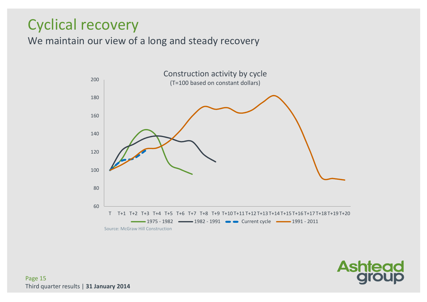### Cyclical recovery

We maintain our view of a long and steady recovery



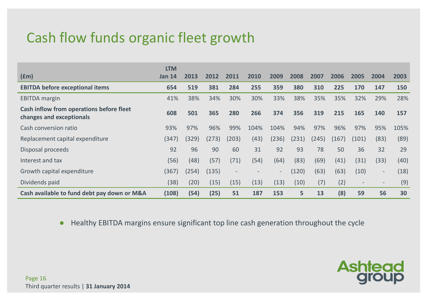### Cash flow funds organic fleet growth

|                                                                      | <b>LTM</b>    |       |       |                          |      |                          |       |       |       |                          |        |      |
|----------------------------------------------------------------------|---------------|-------|-------|--------------------------|------|--------------------------|-------|-------|-------|--------------------------|--------|------|
| f(m)                                                                 | <b>Jan 14</b> | 2013  | 2012  | 2011                     | 2010 | 2009                     | 2008  | 2007  | 2006  | 2005                     | 2004   | 2003 |
| <b>EBITDA before exceptional items</b>                               | 654           | 519   | 381   | 284                      | 255  | 359                      | 380   | 310   | 225   | 170                      | 147    | 150  |
| <b>EBITDA</b> margin                                                 | 41%           | 38%   | 34%   | 30%                      | 30%  | 33%                      | 38%   | 35%   | 35%   | 32%                      | 29%    | 28%  |
| Cash inflow from operations before fleet<br>changes and exceptionals | 608           | 501   | 365   | 280                      | 266  | 374                      | 356   | 319   | 215   | 165                      | 140    | 157  |
| Cash conversion ratio                                                | 93%           | 97%   | 96%   | 99%                      | 104% | 104%                     | 94%   | 97%   | 96%   | 97%                      | 95%    | 105% |
| Replacement capital expenditure                                      | (347)         | (329) | (273) | (203)                    | (43) | (236)                    | (231) | (245) | (167) | (101)                    | (83)   | (89) |
| Disposal proceeds                                                    | 92            | 96    | 90    | 60                       | 31   | 92                       | 93    | 78    | 50    | 36                       | 32     | 29   |
| Interest and tax                                                     | (56)          | (48)  | (57)  | (71)                     | (54) | (64)                     | (83)  | (69)  | (41)  | (31)                     | (33)   | (40) |
| Growth capital expenditure                                           | (367)         | (254) | (135) | $\overline{\phantom{a}}$ |      | $\overline{\phantom{a}}$ | (120) | (63)  | (63)  | (10)                     | $\sim$ | (18) |
| Dividends paid                                                       | (38)          | (20)  | (15)  | (15)                     | (13) | (13)                     | (10)  | (7)   | (2)   | $\overline{\phantom{a}}$ | $-$    | (9)  |
| Cash available to fund debt pay down or M&A                          | (108)         | (54)  | (25)  | 51                       | 187  | 153                      | 5     | 13    | (8)   | 59                       | 56     | 30   |

 $\bullet$ Healthy EBITDA margins ensure significant top line cash generation throughout the cycle

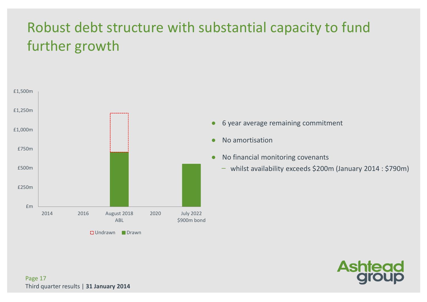### Robust debt structure with substantial capacity to fund further growth



 $\bullet$ <sup>6</sup> year average remaining commitment

- $\bullet$ No amortisation
- $\bullet$  No financial monitoring covenants
	- ̶ whilst availability exceeds \$200m (January 2014 : \$790m)

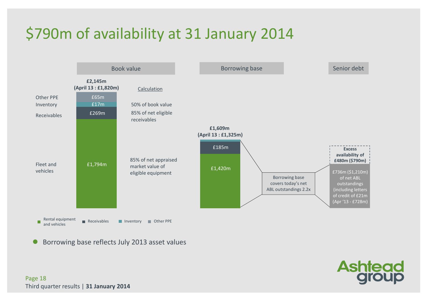### \$790m of availability at 31 January 2014



 $\bullet$ Borrowing base reflects July 2013 asset values